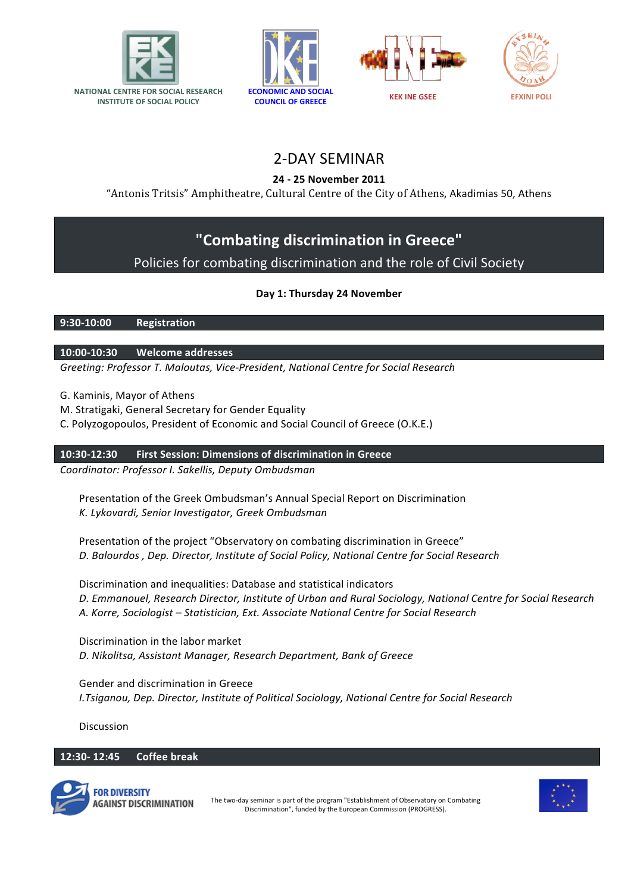







# 2-DAY SEMINAR

# **24 - 25 November 2011**

"Antonis Tritsis" Amphitheatre, Cultural Centre of the City of Athens, Akadimias 50, Athens

# **"Combating discrimination in Greece"**

# Policies for combating discrimination and the role of Civil Society

# **Day 1: Thursday 24 November**

**9:30-10:00 Registration**

**10:00-10:30 Welcome addresses**

*Greeting: Professor T. Maloutas, Vice-President, National Centre for Social Research*

G. Kaminis, Mayor of Athens

M. Stratigaki, General Secretary for Gender Equality

C. Polyzogopoulos, President of Economic and Social Council of Greece (Ο.Κ.Ε.)

**10:30-12:30 First Session: Dimensions of discrimination in Greece**

*Coordinator: Professor I. Sakellis, Deputy Ombudsman*

Presentation of the Greek Ombudsman's Annual Special Report on Discrimination *Κ. Lykovardi, Senior Investigator, Greek Ombudsman* 

Presentation of the project "Observatory on combating discrimination in Greece" *D. Balourdos , Dep. Director, Institute of Social Policy, National Centre for Social Research* 

Discrimination and inequalities: Database and statistical indicators *D. Emmanouel, Research Director, Institute of Urban and Rural Sociology, National Centre for Social Research Α. Korre, Sociologist – Statistician, Ext. Associate National Centre for Social Research*

Discrimination in the labor market *D. Nikolitsa, Assistant Manager, Research Department, Bank of Greece* 

Gender and discrimination in Greece *Ι.Tsiganou, Dep. Director, Institute of Political Sociology, National Centre for Social Research* 

Discussion

**12:30- 12:45 Coffee break**



The two-day seminar is part of the program "Establishment of Observatory on Combating Discrimination", funded by the European Commission (PROGRESS).

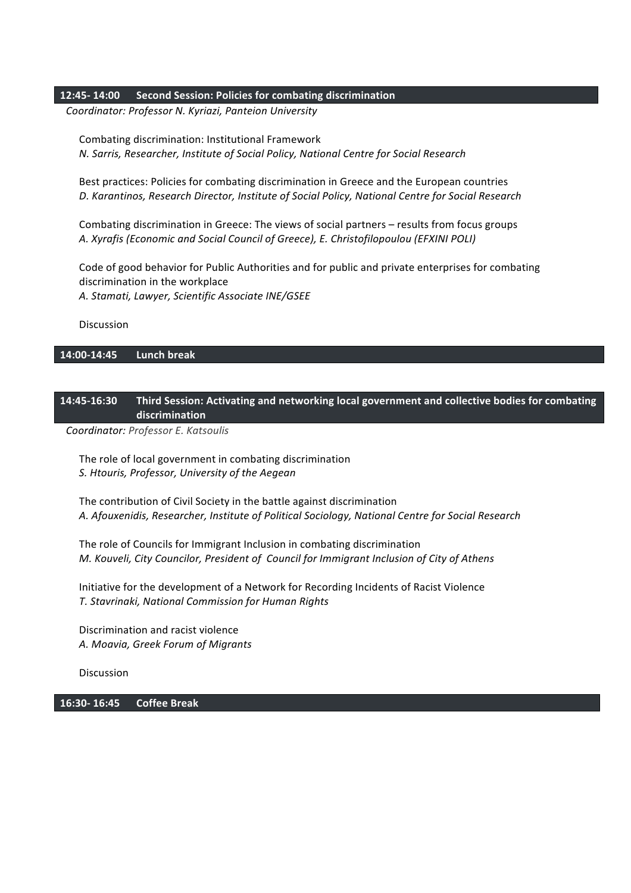## **12:45- 14:00 Second Session: Policies for combating discrimination**

*Coordinator: Professor Ν. Kyriazi, Panteion University*

Combating discrimination: Institutional Framework *Ν. Sarris, Researcher, Institute of Social Policy, National Centre for Social Research* 

Best practices: Policies for combating discrimination in Greece and the European countries *D. Karantinos, Research Director, Institute of Social Policy, National Centre for Social Research*

Combating discrimination in Greece: The views of social partners – results from focus groups *Α. Xyrafis (Economic and Social Council of Greece), Ε. Christofilopoulou (EFXINI POLI)*

Code of good behavior for Public Authorities and for public and private enterprises for combating discrimination in the workplace *Α. Stamati, Lawyer, Scientific Associate INE/GSEE*

Discussion

## **14:00-14:45 Lunch break**

## **14:45-16:30 Third Session: Activating and networking local government and collective bodies for combating discrimination**

*Coordinator: Professor E. Katsoulis*

The role of local government in combating discrimination *S. Htouris, Professor, University of the Aegean*

The contribution of Civil Society in the battle against discrimination *Α. Afouxenidis, Researcher, Institute of Political Sociology, National Centre for Social Research*

The role of Councils for Immigrant Inclusion in combating discrimination *Μ. Kouveli, City Councilor, President of Council for Immigrant Inclusion of City of Athens* 

Initiative for the development of a Network for Recording Incidents of Racist Violence *Τ. Stavrinaki, National Commission for Human Rights*

Discrimination and racist violence *Α. Moavia, Greek Forum of Migrants*

Discussion

**16:30- 16:45 Coffee Break**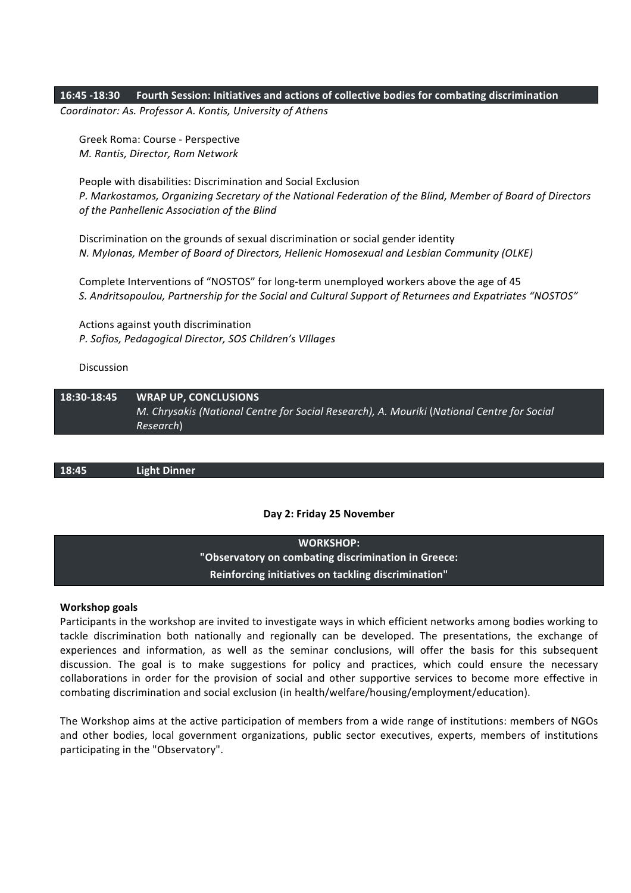## **16:45 -18:30 Fourth Session: Initiatives and actions of collective bodies for combating discrimination**

*Coordinator: As. Professor Α. Kontis, University of Athens*

Greek Roma: Course - Perspective *Μ. Rantis, Director, Rom Network*

People with disabilities: Discrimination and Social Exclusion *P. Markostamos, Organizing Secretary of the National Federation of the Blind, Member of Board of Directors*  of the Panhellenic Association of the Blind

Discrimination on the grounds of sexual discrimination or social gender identity *Ν. Mylonas, Member of Board of Directors, Hellenic Homosexual and Lesbian Community (OLKE)* 

Complete Interventions of "NOSTOS" for long-term unemployed workers above the age of 45 S. Andritsopoulou, Partnership for the Social and Cultural Support of Returnees and Expatriates "NOSTOS"

Actions against youth discrimination *P. Sofios, Pedagogical Director, SOS Children's VIllages*

Discussion

**18:30-18:45 WRAP UP, CONCLUSIONS** *Μ.* Chrysakis (National Centre for Social Research), A. Mouriki (National Centre for Social *Research*)

18:45 **Light Dinner** 

#### **Day 2: Friday 25 November**

WORKSHOP: "Observatory on combating discrimination in Greece: **Reinforcing initiatives on tackling discrimination"**

#### **Workshop goals**

Participants in the workshop are invited to investigate ways in which efficient networks among bodies working to tackle discrimination both nationally and regionally can be developed. The presentations, the exchange of experiences and information, as well as the seminar conclusions, will offer the basis for this subsequent discussion. The goal is to make suggestions for policy and practices, which could ensure the necessary collaborations in order for the provision of social and other supportive services to become more effective in combating discrimination and social exclusion (in health/welfare/housing/employment/education).

The Workshop aims at the active participation of members from a wide range of institutions: members of NGOs and other bodies, local government organizations, public sector executives, experts, members of institutions participating in the "Observatory".